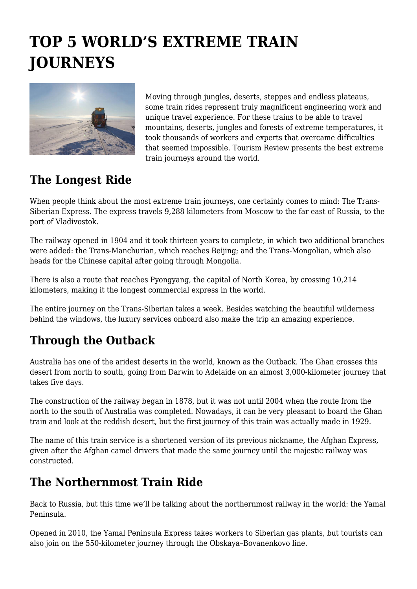# **TOP 5 WORLD'S EXTREME TRAIN JOURNEYS**



Moving through jungles, deserts, steppes and endless plateaus, some train rides represent truly magnificent engineering work and unique travel experience. For these trains to be able to travel mountains, deserts, jungles and forests of extreme temperatures, it took thousands of workers and experts that overcame difficulties that seemed impossible. Tourism Review presents the best extreme train journeys around the world.

### **The Longest Ride**

When people think about the most extreme train journeys, one certainly comes to mind: The Trans-Siberian Express. The express travels 9,288 kilometers from Moscow to the far east of Russia, to the port of Vladivostok.

The railway opened in 1904 and it took thirteen years to complete, in which two additional branches were added: the Trans-Manchurian, which reaches Beijing; and the Trans-Mongolian, which also heads for the Chinese capital after going through Mongolia.

There is also a route that reaches Pyongyang, the capital of North Korea, by crossing 10,214 kilometers, making it the longest commercial express in the world.

The entire journey on the Trans-Siberian takes a week. Besides watching the beautiful wilderness behind the windows, the luxury services onboard also make the trip an amazing experience.

## **Through the Outback**

Australia has one of the aridest deserts in the world, known as the Outback. The Ghan crosses this desert from north to south, going from Darwin to Adelaide on an almost 3,000-kilometer journey that takes five days.

The construction of the railway began in 1878, but it was not until 2004 when the route from the north to the south of Australia was completed. Nowadays, it can be very pleasant to board the Ghan train and look at the reddish desert, but the first journey of this train was actually made in 1929.

The name of this train service is a shortened version of its previous nickname, the Afghan Express, given after the Afghan camel drivers that made the same journey until the majestic railway was constructed.

### **The Northernmost Train Ride**

Back to Russia, but this time we'll be talking about the northernmost railway in the world: the Yamal Peninsula.

Opened in 2010, the Yamal Peninsula Express takes workers to Siberian gas plants, but tourists can also join on the 550-kilometer journey through the Obskaya–Bovanenkovo line.